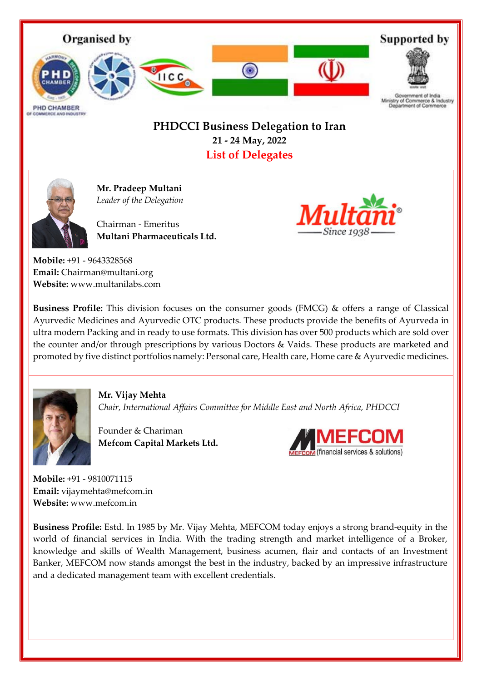

## **PHDCCI Business Delegation to Iran 21 - 24 May, 2022 List of Delegates**



**Mr. Pradeep Multani** *Leader of the Delegation* 

Chairman - Emeritus **Multani Pharmaceuticals Ltd.**



**Mobile:** +91 - 9643328568 **Email:** Chairman@multani.org **Website:** www.multanilabs.com

**Business Profile:** This division focuses on the consumer goods (FMCG) & offers a range of Classical Ayurvedic Medicines and Ayurvedic OTC products. These products provide the benefits of Ayurveda in ultra modern Packing and in ready to use formats. This division has over 500 products which are sold over the counter and/or through prescriptions by various Doctors & Vaids. These products are marketed and promoted by five distinct portfolios namely: Personal care, Health care, Home care & Ayurvedic medicines.



**Mr. Vijay Mehta** *Chair, International Affairs Committee for Middle East and North Africa, PHDCCI* 

Founder & Chariman **Mefcom Capital Markets Ltd.**



**Mobile:** +91 - 9810071115 **Email:** vijaymehta@mefcom.in **Website:** www.mefcom.in

**Business Profile:** Estd. In 1985 by Mr. Vijay Mehta, MEFCOM today enjoys a strong brand-equity in the world of financial services in India. With the trading strength and market intelligence of a Broker, knowledge and skills of Wealth Management, business acumen, flair and contacts of an Investment Banker, MEFCOM now stands amongst the best in the industry, backed by an impressive infrastructure and a dedicated management team with excellent credentials.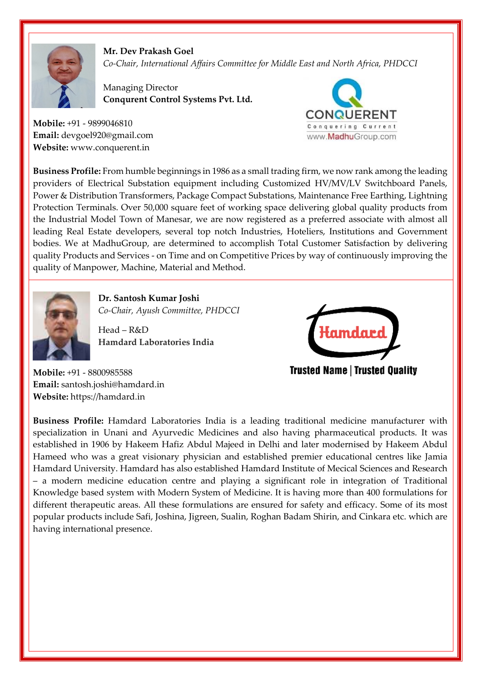

**Mr. Dev Prakash Goel** *Co-Chair, International Affairs Committee for Middle East and North Africa, PHDCCI* 

Managing Director **Conqurent Control Systems Pvt. Ltd.**

**Mobile:** +91 - 9899046810 **Email:** devgoel920@gmail.com **Website:** www.conquerent.in



**Business Profile:** From humble beginnings in 1986 as a small trading firm, we now rank among the leading providers of Electrical Substation equipment including Customized HV/MV/LV Switchboard Panels, Power & Distribution Transformers, Package Compact Substations, Maintenance Free Earthing, Lightning Protection Terminals. Over 50,000 square feet of working space delivering global quality products from the Industrial Model Town of Manesar, we are now registered as a preferred associate with almost all leading Real Estate developers, several top notch Industries, Hoteliers, Institutions and Government bodies. We at MadhuGroup, are determined to accomplish Total Customer Satisfaction by delivering quality Products and Services - on Time and on Competitive Prices by way of continuously improving the quality of Manpower, Machine, Material and Method.



**Dr. Santosh Kumar Joshi** *Co-Chair, Ayush Committee, PHDCCI* 

Head – R&D **Hamdard Laboratories India**



**Trusted Name | Trusted Quality** 

**Mobile:** +91 - 8800985588 **Email:** santosh.joshi@hamdard.in **Website:** https://hamdard.in

**Business Profile:** Hamdard Laboratories India is a leading traditional medicine manufacturer with specialization in Unani and Ayurvedic Medicines and also having pharmaceutical products. It was established in 1906 by Hakeem Hafiz Abdul Majeed in Delhi and later modernised by Hakeem Abdul Hameed who was a great visionary physician and established premier educational centres like Jamia Hamdard University. Hamdard has also established Hamdard Institute of Mecical Sciences and Research – a modern medicine education centre and playing a significant role in integration of Traditional Knowledge based system with Modern System of Medicine. It is having more than 400 formulations for different therapeutic areas. All these formulations are ensured for safety and efficacy. Some of its most popular products include Safi, Joshina, Jigreen, Sualin, Roghan Badam Shirin, and Cinkara etc. which are having international presence.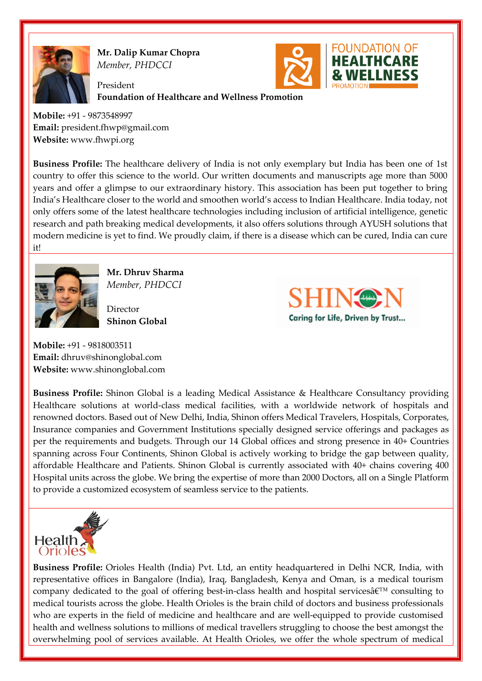

**Mr. Dalip Kumar Chopra** *Member, PHDCCI*

President **Foundation of Healthcare and Wellness Promotion**

**Mobile:** +91 - 9873548997 **Email:** president.fhwp@gmail.com **Website:** www.fhwpi.org

**Business Profile:** The healthcare delivery of India is not only exemplary but India has been one of 1st country to offer this science to the world. Our written documents and manuscripts age more than 5000 years and offer a glimpse to our extraordinary history. This association has been put together to bring India's Healthcare closer to the world and smoothen world's access to Indian Healthcare. India today, not only offers some of the latest healthcare technologies including inclusion of artificial intelligence, genetic research and path breaking medical developments, it also offers solutions through AYUSH solutions that modern medicine is yet to find. We proudly claim, if there is a disease which can be cured, India can cure it!



**Mr. Dhruv Sharma** *Member, PHDCCI*

Director **Shinon Global**



**FOUNDATION OF** 

**Mobile:** +91 - 9818003511 **Email:** dhruv@shinonglobal.com **Website:** www.shinonglobal.com

**Business Profile:** Shinon Global is a leading Medical Assistance & Healthcare Consultancy providing Healthcare solutions at world-class medical facilities, with a worldwide network of hospitals and renowned doctors. Based out of New Delhi, India, Shinon offers Medical Travelers, Hospitals, Corporates, Insurance companies and Government Institutions specially designed service offerings and packages as per the requirements and budgets. Through our 14 Global offices and strong presence in 40+ Countries spanning across Four Continents, Shinon Global is actively working to bridge the gap between quality, affordable Healthcare and Patients. Shinon Global is currently associated with 40+ chains covering 400 Hospital units across the globe. We bring the expertise of more than 2000 Doctors, all on a Single Platform to provide a customized ecosystem of seamless service to the patients.



**Business Profile:** Orioles Health (India) Pvt. Ltd, an entity headquartered in Delhi NCR, India, with representative offices in Bangalore (India), Iraq, Bangladesh, Kenya and Oman, is a medical tourism company dedicated to the goal of offering best-in-class health and hospital services $\hat{\mathbf{a}} \in \mathbb{N}^M$  consulting to medical tourists across the globe. Health Orioles is the brain child of doctors and business professionals who are experts in the field of medicine and healthcare and are well-equipped to provide customised health and wellness solutions to millions of medical travellers struggling to choose the best amongst the overwhelming pool of services available. At Health Orioles, we offer the whole spectrum of medical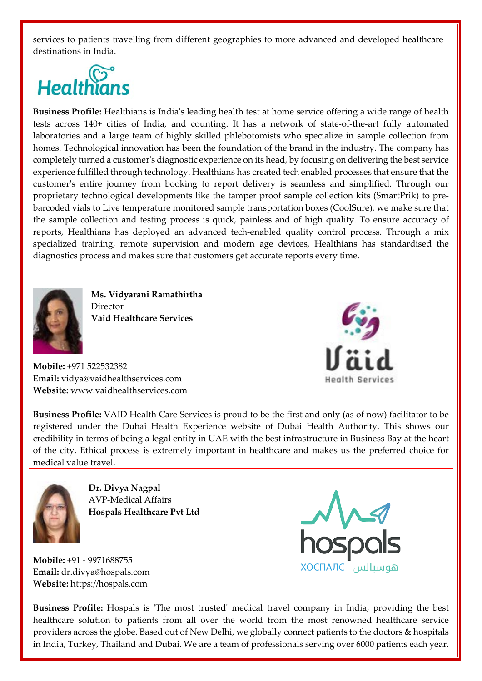services to patients travelling from different geographies to more advanced and developed healthcare destinations in India.

## **Healthians**

**Business Profile:** Healthians is India's leading health test at home service offering a wide range of health tests across 140+ cities of India, and counting. It has a network of state-of-the-art fully automated laboratories and a large team of highly skilled phlebotomists who specialize in sample collection from homes. Technological innovation has been the foundation of the brand in the industry. The company has completely turned a customer's diagnostic experience on its head, by focusing on delivering the best service experience fulfilled through technology. Healthians has created tech enabled processes that ensure that the customer's entire journey from booking to report delivery is seamless and simplified. Through our proprietary technological developments like the tamper proof sample collection kits (SmartPrik) to prebarcoded vials to Live temperature monitored sample transportation boxes (CoolSure), we make sure that the sample collection and testing process is quick, painless and of high quality. To ensure accuracy of reports, Healthians has deployed an advanced tech-enabled quality control process. Through a mix specialized training, remote supervision and modern age devices, Healthians has standardised the diagnostics process and makes sure that customers get accurate reports every time.



**Ms. Vidyarani Ramathirtha** Director **Vaid Healthcare Services**

**Mobile:** +971 522532382 **Email:** vidya@vaidhealthservices.com **Website:** www.vaidhealthservices.com **Health Services** 

**Business Profile:** VAID Health Care Services is proud to be the first and only (as of now) facilitator to be registered under the Dubai Health Experience website of Dubai Health Authority. This shows our credibility in terms of being a legal entity in UAE with the best infrastructure in Business Bay at the heart of the city. Ethical process is extremely important in healthcare and makes us the preferred choice for medical value travel.



**Dr. Divya Nagpal** AVP-Medical Affairs **Hospals Healthcare Pvt Ltd**

**Mobile:** +91 - 9971688755 **Email:** dr.divya@hospals.com **Website:** https://hospals.com



**Business Profile:** Hospals is 'The most trusted' medical travel company in India, providing the best healthcare solution to patients from all over the world from the most renowned healthcare service providers across the globe. Based out of New Delhi, we globally connect patients to the doctors & hospitals in India, Turkey, Thailand and Dubai. We are a team of professionals serving over 6000 patients each year.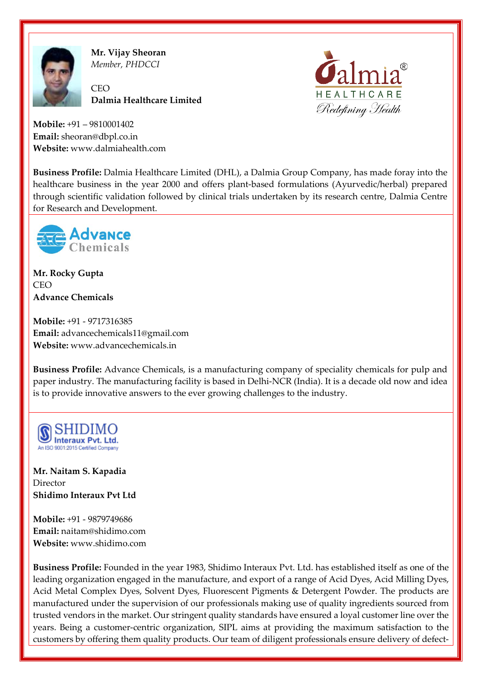

**Mr. Vijay Sheoran** *Member, PHDCCI*

**CEO Dalmia Healthcare Limited**



**Mobile:** +91 – 9810001402 **Email:** sheoran@dbpl.co.in **Website:** www.dalmiahealth.com

**Business Profile:** Dalmia Healthcare Limited (DHL), a Dalmia Group Company, has made foray into the healthcare business in the year 2000 and offers plant-based formulations (Ayurvedic/herbal) prepared through scientific validation followed by clinical trials undertaken by its research centre, Dalmia Centre for Research and Development.



**Mr. Rocky Gupta**  $CFO$ **Advance Chemicals**

**Mobile:** +91 - 9717316385 **Email:** advancechemicals11@gmail.com **Website:** www.advancechemicals.in

**Business Profile:** Advance Chemicals, is a manufacturing company of speciality chemicals for pulp and paper industry. The manufacturing facility is based in Delhi-NCR (India). It is a decade old now and idea is to provide innovative answers to the ever growing challenges to the industry.



**Mr. Naitam S. Kapadia** Director **Shidimo Interaux Pvt Ltd**

**Mobile:** +91 - 9879749686 **Email:** naitam@shidimo.com **Website:** www.shidimo.com

**Business Profile:** Founded in the year 1983, Shidimo Interaux Pvt. Ltd. has established itself as one of the leading organization engaged in the manufacture, and export of a range of Acid Dyes, Acid Milling Dyes, Acid Metal Complex Dyes, Solvent Dyes, Fluorescent Pigments & Detergent Powder. The products are manufactured under the supervision of our professionals making use of quality ingredients sourced from trusted vendors in the market. Our stringent quality standards have ensured a loyal customer line over the years. Being a customer-centric organization, SIPL aims at providing the maximum satisfaction to the customers by offering them quality products. Our team of diligent professionals ensure delivery of defect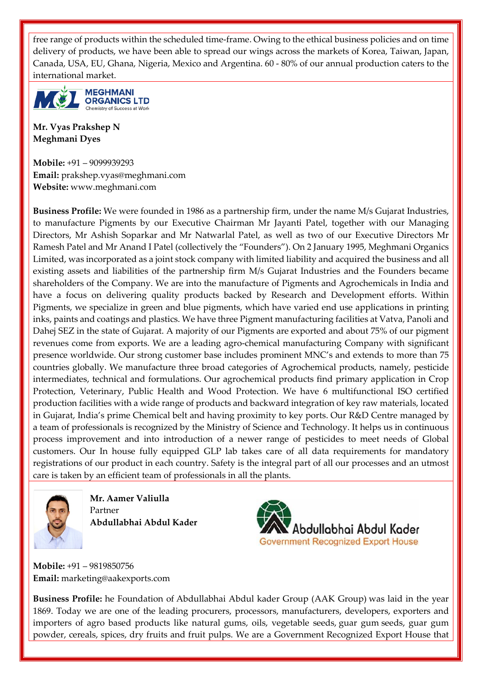free range of products within the scheduled time-frame. Owing to the ethical business policies and on time delivery of products, we have been able to spread our wings across the markets of Korea, Taiwan, Japan, Canada, USA, EU, Ghana, Nigeria, Mexico and Argentina. 60 - 80% of our annual production caters to the international market.



**Mr. Vyas Prakshep N Meghmani Dyes**

**Mobile:** +91 – 9099939293 **Email:** prakshep.vyas@meghmani.com **Website:** www.meghmani.com

**Business Profile:** We were founded in 1986 as a partnership firm, under the name M/s Gujarat Industries, to manufacture Pigments by our Executive Chairman Mr Jayanti Patel, together with our Managing Directors, Mr Ashish Soparkar and Mr Natwarlal Patel, as well as two of our Executive Directors Mr Ramesh Patel and Mr Anand I Patel (collectively the "Founders"). On 2 January 1995, Meghmani Organics Limited, was incorporated as a joint stock company with limited liability and acquired the business and all existing assets and liabilities of the partnership firm M/s Gujarat Industries and the Founders became shareholders of the Company. We are into the manufacture of Pigments and Agrochemicals in India and have a focus on delivering quality products backed by Research and Development efforts. Within Pigments, we specialize in green and blue pigments, which have varied end use applications in printing inks, paints and coatings and plastics. We have three Pigment manufacturing facilities at Vatva, Panoli and Dahej SEZ in the state of Gujarat. A majority of our Pigments are exported and about 75% of our pigment revenues come from exports. We are a leading agro-chemical manufacturing Company with significant presence worldwide. Our strong customer base includes prominent MNC's and extends to more than 75 countries globally. We manufacture three broad categories of Agrochemical products, namely, pesticide intermediates, technical and formulations. Our agrochemical products find primary application in Crop Protection, Veterinary, Public Health and Wood Protection. We have 6 multifunctional ISO certified production facilities with a wide range of products and backward integration of key raw materials, located in Gujarat, India's prime Chemical belt and having proximity to key ports. Our R&D Centre managed by a team of professionals is recognized by the Ministry of Science and Technology. It helps us in continuous process improvement and into introduction of a newer range of pesticides to meet needs of Global customers. Our In house fully equipped GLP lab takes care of all data requirements for mandatory registrations of our product in each country. Safety is the integral part of all our processes and an utmost care is taken by an efficient team of professionals in all the plants.



**Mr. Aamer Valiulla** Partner **Abdullabhai Abdul Kader**



**Mobile:** +91 – 9819850756 **Email:** marketing@aakexports.com

**Business Profile:** he Foundation of Abdullabhai Abdul kader Group (AAK Group) was laid in the year 1869. Today we are one of the leading procurers, processors, manufacturers, developers, exporters and importers of agro based products like natural gums, oils, vegetable seeds, [guar gum](https://www.guargum.co.in/guar-gum-powder/) seeds, guar gum powder, cereals, spices, dry fruits and fruit pulps. We are a Government Recognized Export House that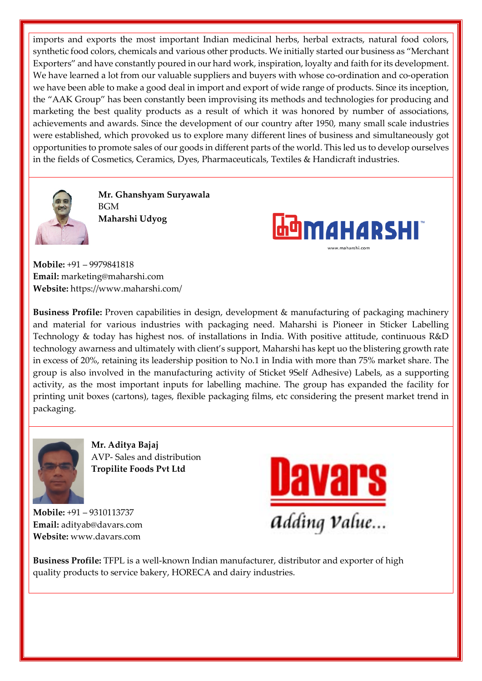imports and exports the most important Indian medicinal herbs, herbal extracts, natural food colors, synthetic food colors, chemicals and various other products. We initially started our business as "Merchant Exporters" and have constantly poured in our hard work, inspiration, loyalty and faith for its development. We have learned a lot from our valuable suppliers and buyers with whose co-ordination and co-operation we have been able to make a good deal in import and export of wide range of products. Since its inception, the "AAK Group" has been constantly been improvising its methods and technologies for producing and marketing the best quality products as a result of which it was honored by number of associations, achievements and awards. Since the development of our country after 1950, many small scale industries were established, which provoked us to explore many different lines of business and simultaneously got opportunities to promote sales of our goods in different parts of the world. This led us to develop ourselves in the fields of Cosmetics, Ceramics, Dyes, Pharmaceuticals, Textiles & Handicraft industries.



**Mr. Ghanshyam Suryawala** BGM **Maharshi Udyog**



**Mobile:** +91 – 9979841818 **Email:** marketing@maharshi.com **Website:** https://www.maharshi.com/

**Business Profile:** Proven capabilities in design, development & manufacturing of packaging machinery and material for various industries with packaging need. Maharshi is Pioneer in Sticker Labelling Technology & today has highest nos. of installations in India. With positive attitude, continuous R&D technology awarness and ultimately with client's support, Maharshi has kept uo the blistering growth rate in excess of 20%, retaining its leadership position to No.1 in India with more than 75% market share. The group is also involved in the manufacturing activity of Sticket 9Self Adhesive) Labels, as a supporting activity, as the most important inputs for labelling machine. The group has expanded the facility for printing unit boxes (cartons), tages, flexible packaging films, etc considering the present market trend in packaging.



**Mr. Aditya Bajaj** AVP- Sales and distribution **Tropilite Foods Pvt Ltd**

**Mobile:** +91 – 9310113737 **Email:** adityab@davars.com **Website:** www.davars.com



**Business Profile:** TFPL is a well-known Indian manufacturer, distributor and exporter of high quality products to service bakery, HORECA and dairy industries.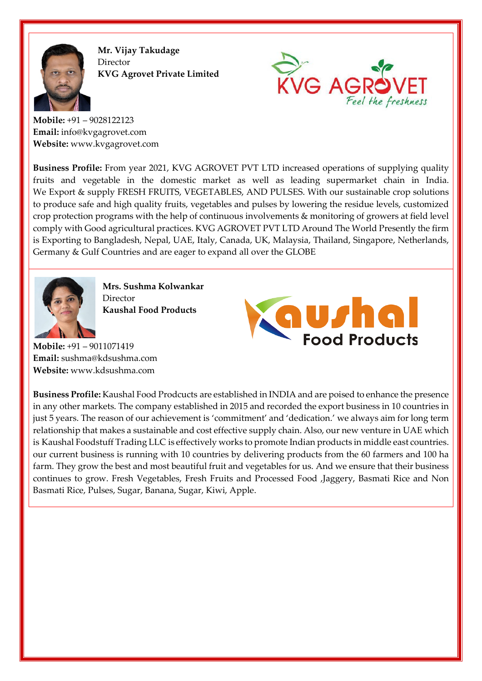

**Mr. Vijay Takudage** Director **KVG Agrovet Private Limited**



**Mobile:** +91 – 9028122123 **Email:** info@kvgagrovet.com **Website:** www.kvgagrovet.com

**Business Profile:** From year 2021, KVG AGROVET PVT LTD increased operations of supplying quality fruits and vegetable in the domestic market as well as leading supermarket chain in India. We Export & supply FRESH FRUITS, VEGETABLES, AND PULSES. With our sustainable crop solutions to produce safe and high quality fruits, vegetables and pulses by lowering the residue levels, customized crop protection programs with the help of continuous involvements & monitoring of growers at field level comply with Good agricultural practices. KVG AGROVET PVT LTD Around The World Presently the firm is Exporting to Bangladesh, Nepal, UAE, Italy, Canada, UK, Malaysia, Thailand, Singapore, Netherlands, Germany & Gulf Countries and are eager to expand all over the GLOBE



**Mrs. Sushma Kolwankar** Director **Kaushal Food Products** 

**Mobile:** +91 – 9011071419 **Email:** sushma@kdsushma.com **Website:** www.kdsushma.com



**Business Profile:** Kaushal Food Prodcucts are established in INDIA and are poised to enhance the presence in any other markets. The company established in 2015 and recorded the export business in 10 countries in just 5 years. The reason of our achievement is 'commitment' and 'dedication.' we always aim for long term relationship that makes a sustainable and cost effective supply chain. Also, our new venture in UAE which is Kaushal Foodstuff Trading LLC is effectively works to promote Indian products in middle east countries. our current business is running with 10 countries by delivering products from the 60 farmers and 100 ha farm. They grow the best and most beautiful fruit and vegetables for us. And we ensure that their business continues to grow. Fresh Vegetables, Fresh Fruits and Processed Food ,Jaggery, Basmati Rice and Non Basmati Rice, Pulses, Sugar, Banana, Sugar, Kiwi, Apple.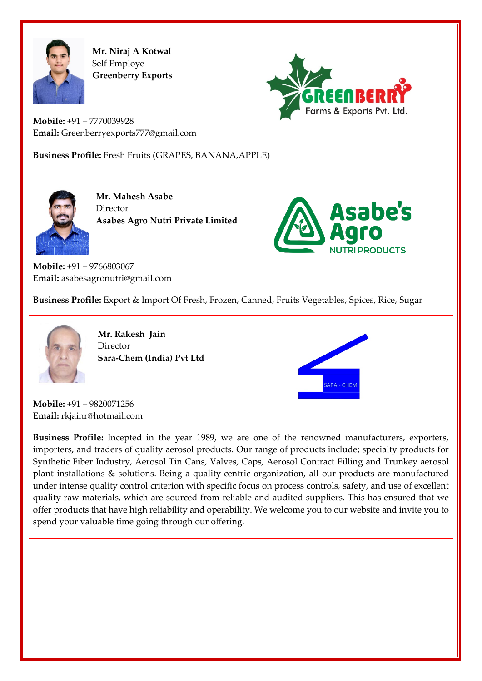

**Mr. Niraj A Kotwal** Self Employe **Greenberry Exports**



**Mobile:** +91 – 7770039928 **Email:** Greenberryexports777@gmail.com

**Business Profile:** Fresh Fruits (GRAPES, BANANA,APPLE)



**Mr. Mahesh Asabe** Director **Asabes Agro Nutri Private Limited**



**Mobile:** +91 – 9766803067 **Email:** asabesagronutri@gmail.com

**Business Profile:** Export & Import Of Fresh, Frozen, Canned, Fruits Vegetables, Spices, Rice, Sugar



**Mr. Rakesh Jain** Director **Sara-Chem (India) Pvt Ltd**



**Mobile:** +91 – 9820071256 **Email:** rkjainr@hotmail.com

**Business Profile:** Incepted in the year 1989, we are one of the renowned manufacturers, exporters, importers, and traders of quality aerosol products. Our range of products include; specialty products for Synthetic Fiber Industry, Aerosol Tin Cans, Valves, Caps, Aerosol Contract Filling and Trunkey aerosol plant installations & solutions. Being a quality-centric organization, all our products are manufactured under intense quality control criterion with specific focus on process controls, safety, and use of excellent quality raw materials, which are sourced from reliable and audited suppliers. This has ensured that we offer products that have high reliability and operability. We welcome you to our website and invite you to spend your valuable time going through our offering.